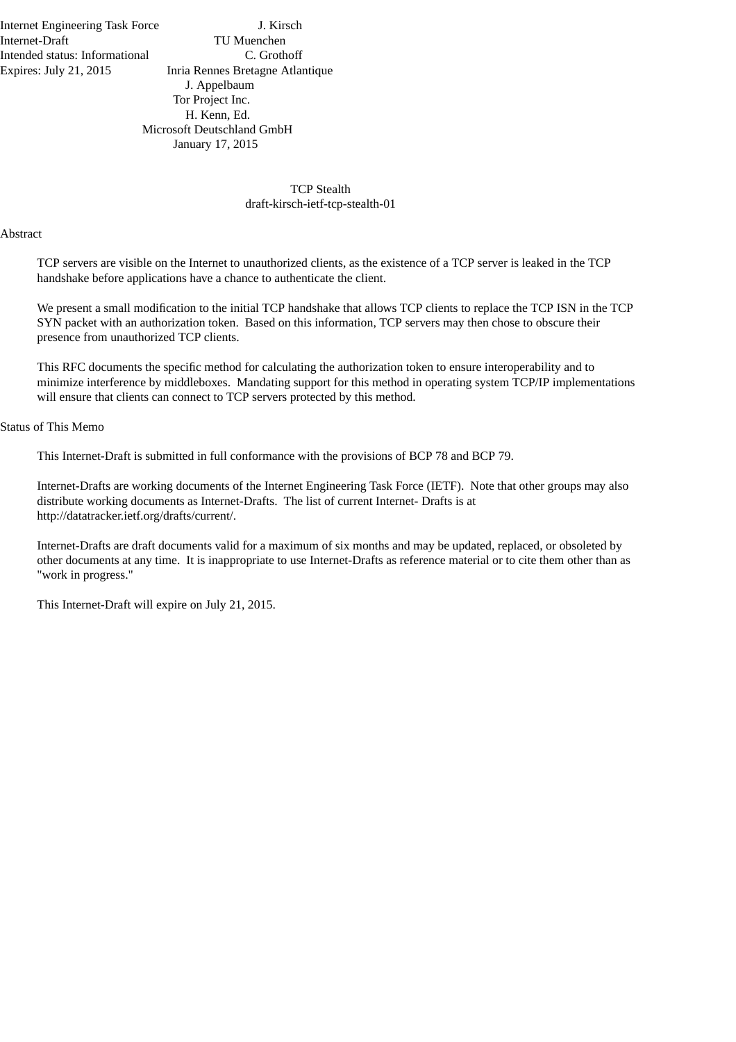Internet Engineering Task Force J. Kirsch Internet-Draft TU Muenchen Intended status: Informational C. Grothoff

Expires: July 21, 2015 Inria Rennes Bretagne Atlantique J. Appelbaum Tor Project Inc. H. Kenn, Ed. Microsoft Deutschland GmbH January 17, 2015

# TCP Stealth draft-kirsch-ietf-tcp-stealth-01

#### Abstract

TCP servers are visible on the Internet to unauthorized clients, as the existence of a TCP server is leaked in the TCP handshake before applications have a chance to authenticate the client.

We present a small modification to the initial TCP handshake that allows TCP clients to replace the TCP ISN in the TCP SYN packet with an authorization token. Based on this information, TCP servers may then chose to obscure their presence from unauthorized TCP clients.

This RFC documents the specific method for calculating the authorization token to ensure interoperability and to minimize interference by middleboxes. Mandating support for this method in operating system TCP/IP implementations will ensure that clients can connect to TCP servers protected by this method.

#### Status of This Memo

This Internet-Draft is submitted in full conformance with the provisions of BCP 78 and BCP 79.

Internet-Drafts are working documents of the Internet Engineering Task Force (IETF). Note that other groups may also distribute working documents as Internet-Drafts. The list of current Internet- Drafts is at http://datatracker.ietf.org/drafts/current/.

Internet-Drafts are draft documents valid for a maximum of six months and may be updated, replaced, or obsoleted by other documents at any time. It is inappropriate to use Internet-Drafts as reference material or to cite them other than as "work in progress."

This Internet-Draft will expire on July 21, 2015.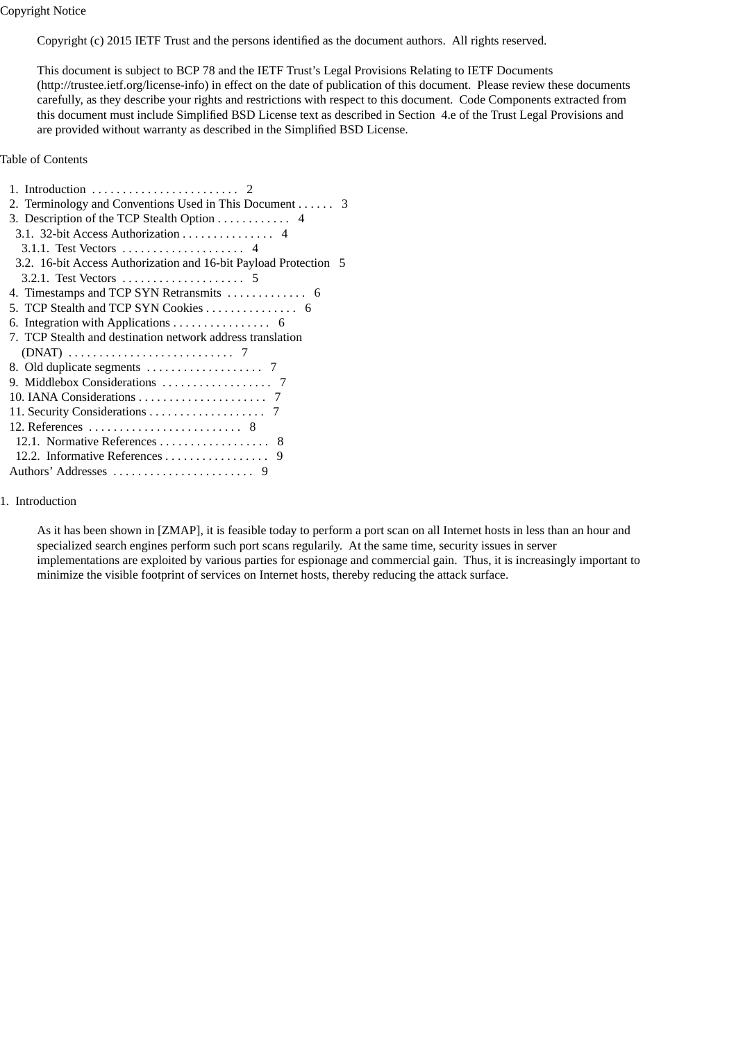Copyright Notice

Copyright (c) 2015 IETF Trust and the persons identified as the document authors. All rights reserved.

This document is subject to BCP 78 and the IETF Trust's Legal Provisions Relating to IETF Documents (http://trustee.ietf.org/license-info) in effect on the date of publication of this document. Please review these documents carefully, as they describe your rights and restrictions with respect to this document. Code Components extracted from this document must include Simplified BSD License text as described in Section 4.e of the Trust Legal Provisions and are provided without warranty as described in the Simplified BSD License.

Table of Contents

| 2. Terminology and Conventions Used in This Document 3           |
|------------------------------------------------------------------|
| 3. Description of the TCP Stealth Option $\dots \dots \dots$ 4   |
| 3.1. 32-bit Access Authorization 4                               |
|                                                                  |
| 3.2. 16-bit Access Authorization and 16-bit Payload Protection 5 |
|                                                                  |
|                                                                  |
| 5. TCP Stealth and TCP SYN Cookies 6                             |
|                                                                  |
| 7. TCP Stealth and destination network address translation       |
|                                                                  |
|                                                                  |
|                                                                  |
|                                                                  |
|                                                                  |
|                                                                  |
|                                                                  |
| 12.2. Informative References 9                                   |
|                                                                  |

# 1. Introduction

As it has been shown in [ZMAP], it is feasible today to perform a port scan on all Internet hosts in less than an hour and specialized search engines perform such port scans regularily. At the same time, security issues in server implementations are exploited by various parties for espionage and commercial gain. Thus, it is increasingly important to minimize the visible footprint of services on Internet hosts, thereby reducing the attack surface.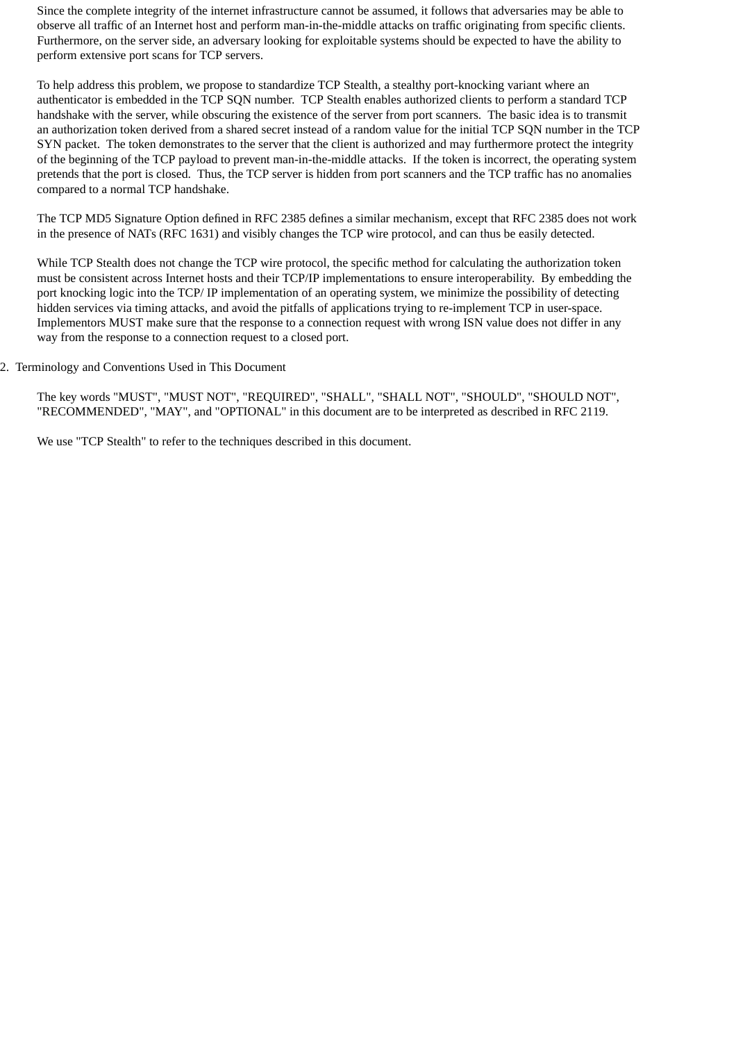Since the complete integrity of the internet infrastructure cannot be assumed, it follows that adversaries may be able to observe all traffic of an Internet host and perform man-in-the-middle attacks on traffic originating from specific clients. Furthermore, on the server side, an adversary looking for exploitable systems should be expected to have the ability to perform extensive port scans for TCP servers.

To help address this problem, we propose to standardize TCP Stealth, a stealthy port-knocking variant where an authenticator is embedded in the TCP SQN number. TCP Stealth enables authorized clients to perform a standard TCP handshake with the server, while obscuring the existence of the server from port scanners. The basic idea is to transmit an authorization token derived from a shared secret instead of a random value for the initial TCP SQN number in the TCP SYN packet. The token demonstrates to the server that the client is authorized and may furthermore protect the integrity of the beginning of the TCP payload to prevent man-in-the-middle attacks. If the token is incorrect, the operating system pretends that the port is closed. Thus, the TCP server is hidden from port scanners and the TCP traffic has no anomalies compared to a normal TCP handshake.

The TCP MD5 Signature Option defined in RFC 2385 defines a similar mechanism, except that RFC 2385 does not work in the presence of NATs (RFC 1631) and visibly changes the TCP wire protocol, and can thus be easily detected.

While TCP Stealth does not change the TCP wire protocol, the specific method for calculating the authorization token must be consistent across Internet hosts and their TCP/IP implementations to ensure interoperability. By embedding the port knocking logic into the TCP/ IP implementation of an operating system, we minimize the possibility of detecting hidden services via timing attacks, and avoid the pitfalls of applications trying to re-implement TCP in user-space. Implementors MUST make sure that the response to a connection request with wrong ISN value does not differ in any way from the response to a connection request to a closed port.

## 2. Terminology and Conventions Used in This Document

The key words "MUST", "MUST NOT", "REQUIRED", "SHALL", "SHALL NOT", "SHOULD", "SHOULD NOT", "RECOMMENDED", "MAY", and "OPTIONAL" in this document are to be interpreted as described in RFC 2119.

We use "TCP Stealth" to refer to the techniques described in this document.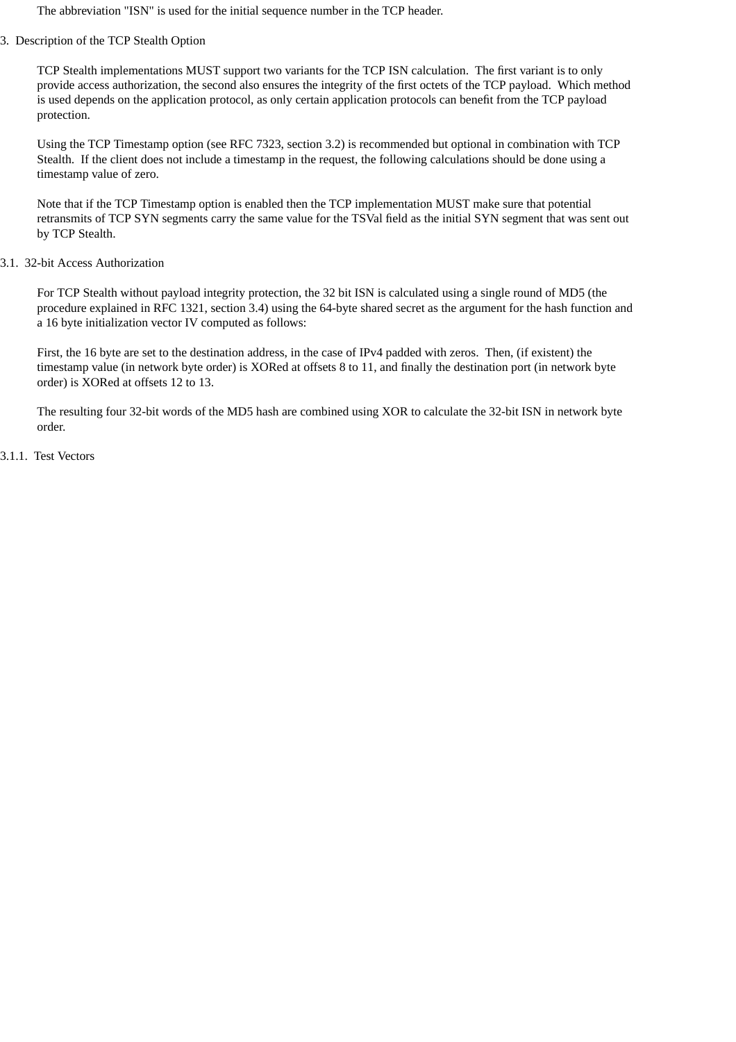The abbreviation "ISN" is used for the initial sequence number in the TCP header.

# 3. Description of the TCP Stealth Option

TCP Stealth implementations MUST support two variants for the TCP ISN calculation. The first variant is to only provide access authorization, the second also ensures the integrity of the first octets of the TCP payload. Which method is used depends on the application protocol, as only certain application protocols can benefit from the TCP payload protection.

Using the TCP Timestamp option (see RFC 7323, section 3.2) is recommended but optional in combination with TCP Stealth. If the client does not include a timestamp in the request, the following calculations should be done using a timestamp value of zero.

Note that if the TCP Timestamp option is enabled then the TCP implementation MUST make sure that potential retransmits of TCP SYN segments carry the same value for the TSVal field as the initial SYN segment that was sent out by TCP Stealth.

# 3.1. 32-bit Access Authorization

For TCP Stealth without payload integrity protection, the 32 bit ISN is calculated using a single round of MD5 (the procedure explained in RFC 1321, section 3.4) using the 64-byte shared secret as the argument for the hash function and a 16 byte initialization vector IV computed as follows:

First, the 16 byte are set to the destination address, in the case of IPv4 padded with zeros. Then, (if existent) the timestamp value (in network byte order) is XORed at offsets 8 to 11, and finally the destination port (in network byte order) is XORed at offsets 12 to 13.

The resulting four 32-bit words of the MD5 hash are combined using XOR to calculate the 32-bit ISN in network byte order.

3.1.1. Test Vectors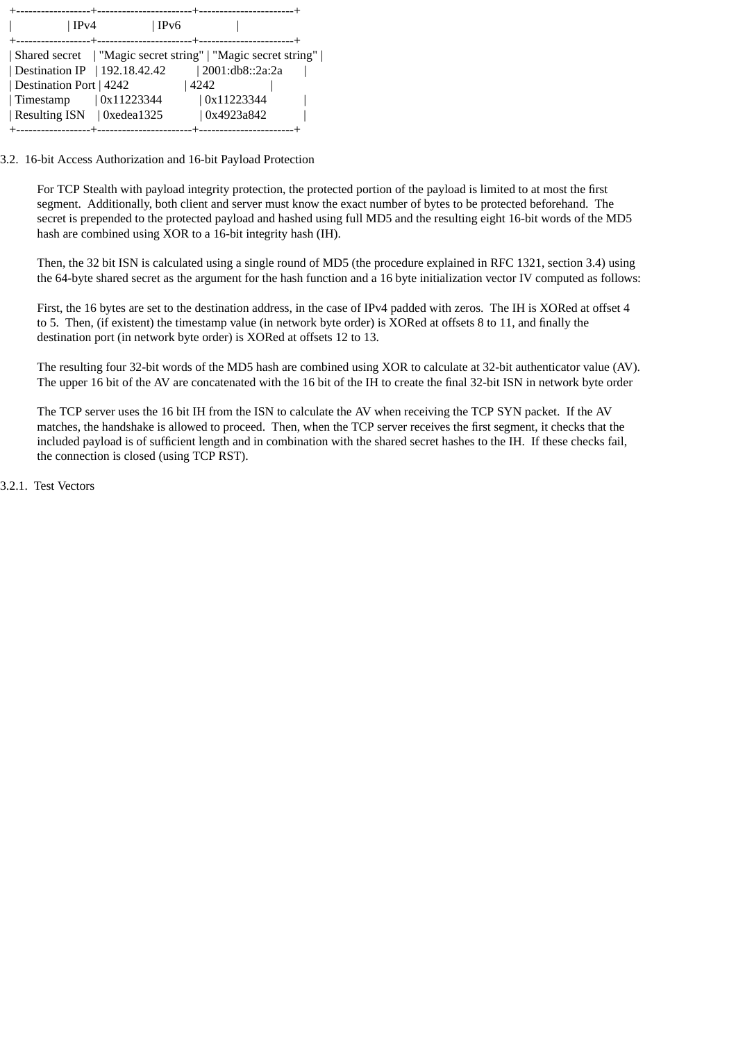| $\vert$ IPv4                                                                                     | IPv6       |      |                 |  |
|--------------------------------------------------------------------------------------------------|------------|------|-----------------|--|
| Shared secret   "Magic secret string"   "Magic secret string"  <br>Destination IP   192.18.42.42 |            |      | 2001:db8::2a:2a |  |
| Destination Port   4242                                                                          |            | 4242 | 0x11223344      |  |
| Timestamp<br>  Resulting ISN   0xedea1325                                                        | 0x11223344 |      | 0x4923a842      |  |
|                                                                                                  |            |      |                 |  |

3.2. 16-bit Access Authorization and 16-bit Payload Protection

For TCP Stealth with payload integrity protection, the protected portion of the payload is limited to at most the first segment. Additionally, both client and server must know the exact number of bytes to be protected beforehand. The secret is prepended to the protected payload and hashed using full MD5 and the resulting eight 16-bit words of the MD5 hash are combined using XOR to a 16-bit integrity hash (IH).

Then, the 32 bit ISN is calculated using a single round of MD5 (the procedure explained in RFC 1321, section 3.4) using the 64-byte shared secret as the argument for the hash function and a 16 byte initialization vector IV computed as follows:

First, the 16 bytes are set to the destination address, in the case of IPv4 padded with zeros. The IH is XORed at offset 4 to 5. Then, (if existent) the timestamp value (in network byte order) is XORed at offsets 8 to 11, and finally the destination port (in network byte order) is XORed at offsets 12 to 13.

The resulting four 32-bit words of the MD5 hash are combined using XOR to calculate at 32-bit authenticator value (AV). The upper 16 bit of the AV are concatenated with the 16 bit of the IH to create the final 32-bit ISN in network byte order

The TCP server uses the 16 bit IH from the ISN to calculate the AV when receiving the TCP SYN packet. If the AV matches, the handshake is allowed to proceed. Then, when the TCP server receives the first segment, it checks that the included payload is of sufficient length and in combination with the shared secret hashes to the IH. If these checks fail, the connection is closed (using TCP RST).

3.2.1. Test Vectors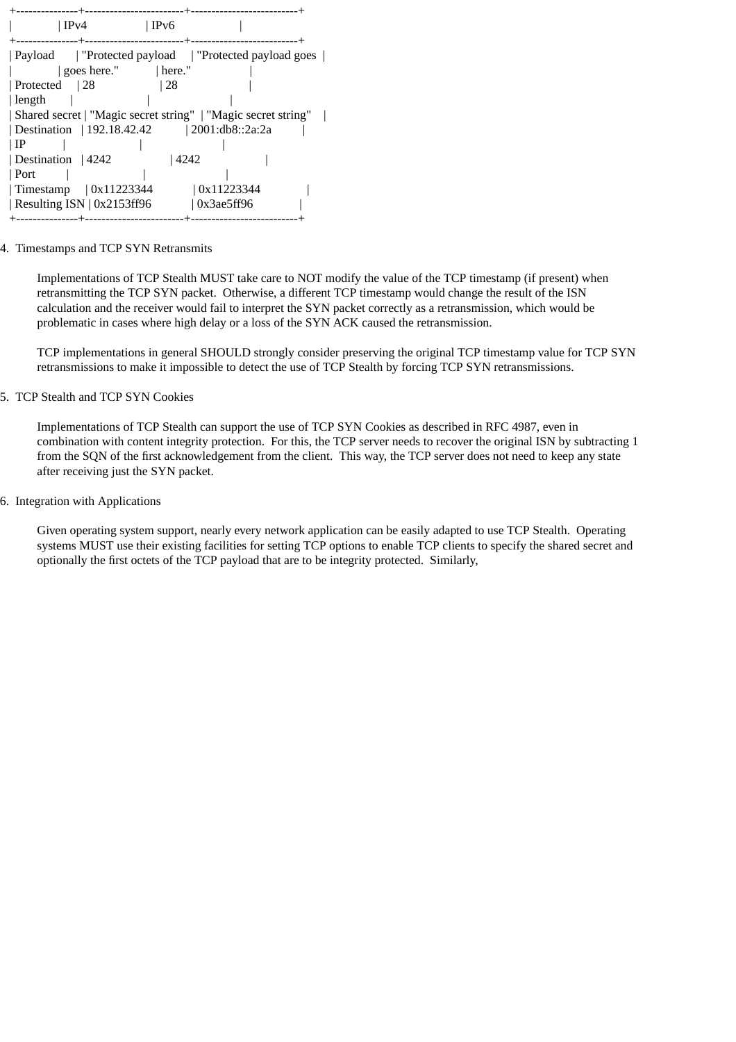| IPv4<br>$\vert$ IPv6                                                                           |
|------------------------------------------------------------------------------------------------|
| Payload   "Protected payload   "Protected payload goes  <br>$\vert$ goes here." $\vert$ here." |
| Protected 28<br>  28                                                                           |
| length                                                                                         |
| Shared secret   "Magic secret string"   "Magic secret string"                                  |
| Destination   192.18.42.42   2001:db8::2a:2a                                                   |
| ∣ IP                                                                                           |
| Destination   4242<br>  4242                                                                   |
| Port                                                                                           |
| 0x11223344<br>$\vert$ Timestamp $\vert$ 0x11223344                                             |
| Resulting ISN $\vert$ 0x2153ff96<br>$\sqrt{0x3ae5ff96}$                                        |
| --------                                                                                       |

# 4. Timestamps and TCP SYN Retransmits

Implementations of TCP Stealth MUST take care to NOT modify the value of the TCP timestamp (if present) when retransmitting the TCP SYN packet. Otherwise, a different TCP timestamp would change the result of the ISN calculation and the receiver would fail to interpret the SYN packet correctly as a retransmission, which would be problematic in cases where high delay or a loss of the SYN ACK caused the retransmission.

TCP implementations in general SHOULD strongly consider preserving the original TCP timestamp value for TCP SYN retransmissions to make it impossible to detect the use of TCP Stealth by forcing TCP SYN retransmissions.

## 5. TCP Stealth and TCP SYN Cookies

Implementations of TCP Stealth can support the use of TCP SYN Cookies as described in RFC 4987, even in combination with content integrity protection. For this, the TCP server needs to recover the original ISN by subtracting 1 from the SQN of the first acknowledgement from the client. This way, the TCP server does not need to keep any state after receiving just the SYN packet.

# 6. Integration with Applications

Given operating system support, nearly every network application can be easily adapted to use TCP Stealth. Operating systems MUST use their existing facilities for setting TCP options to enable TCP clients to specify the shared secret and optionally the first octets of the TCP payload that are to be integrity protected. Similarly,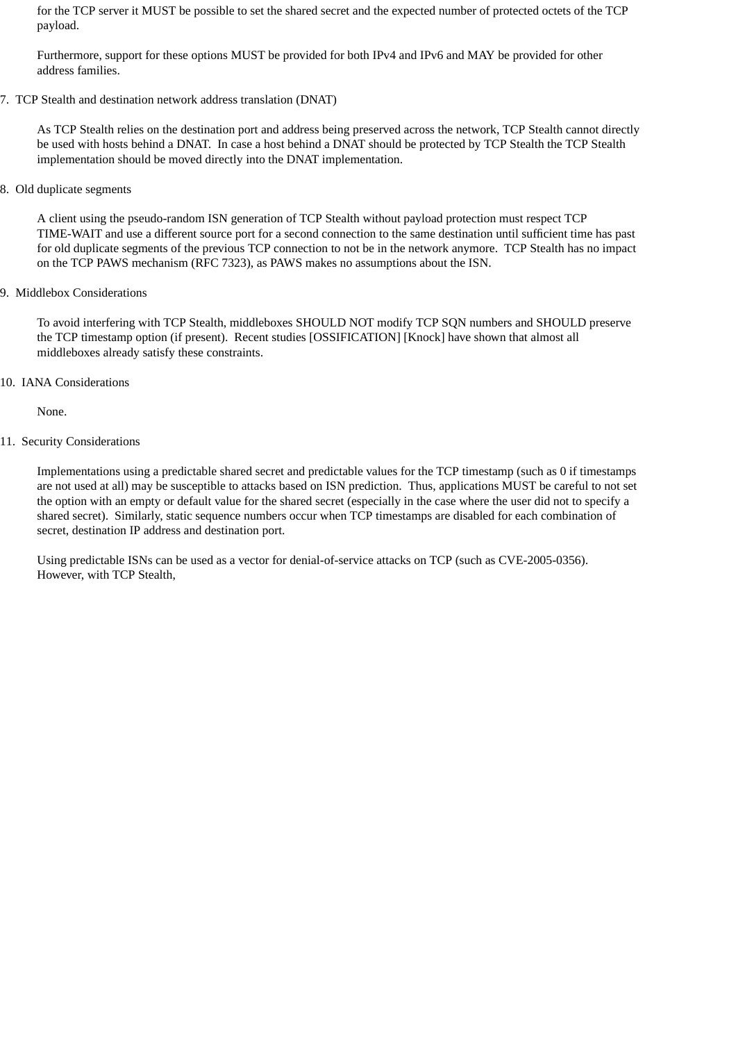for the TCP server it MUST be possible to set the shared secret and the expected number of protected octets of the TCP payload.

Furthermore, support for these options MUST be provided for both IPv4 and IPv6 and MAY be provided for other address families.

#### 7. TCP Stealth and destination network address translation (DNAT)

As TCP Stealth relies on the destination port and address being preserved across the network, TCP Stealth cannot directly be used with hosts behind a DNAT. In case a host behind a DNAT should be protected by TCP Stealth the TCP Stealth implementation should be moved directly into the DNAT implementation.

## 8. Old duplicate segments

A client using the pseudo-random ISN generation of TCP Stealth without payload protection must respect TCP TIME-WAIT and use a different source port for a second connection to the same destination until sufficient time has past for old duplicate segments of the previous TCP connection to not be in the network anymore. TCP Stealth has no impact on the TCP PAWS mechanism (RFC 7323), as PAWS makes no assumptions about the ISN.

# 9. Middlebox Considerations

To avoid interfering with TCP Stealth, middleboxes SHOULD NOT modify TCP SQN numbers and SHOULD preserve the TCP timestamp option (if present). Recent studies [OSSIFICATION] [Knock] have shown that almost all middleboxes already satisfy these constraints.

# 10. IANA Considerations

None.

# 11. Security Considerations

Implementations using a predictable shared secret and predictable values for the TCP timestamp (such as 0 if timestamps are not used at all) may be susceptible to attacks based on ISN prediction. Thus, applications MUST be careful to not set the option with an empty or default value for the shared secret (especially in the case where the user did not to specify a shared secret). Similarly, static sequence numbers occur when TCP timestamps are disabled for each combination of secret, destination IP address and destination port.

Using predictable ISNs can be used as a vector for denial-of-service attacks on TCP (such as CVE-2005-0356). However, with TCP Stealth,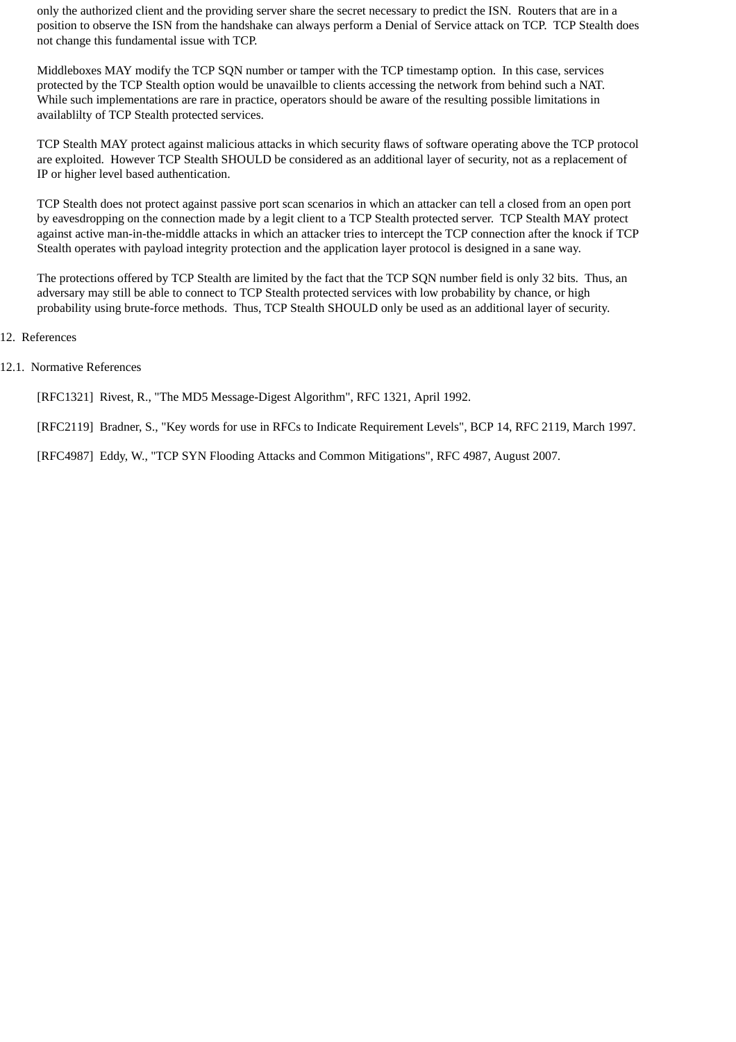only the authorized client and the providing server share the secret necessary to predict the ISN. Routers that are in a position to observe the ISN from the handshake can always perform a Denial of Service attack on TCP. TCP Stealth does not change this fundamental issue with TCP.

Middleboxes MAY modify the TCP SQN number or tamper with the TCP timestamp option. In this case, services protected by the TCP Stealth option would be unavailble to clients accessing the network from behind such a NAT . While such implementations are rare in practice, operators should be aware of the resulting possible limitations in availablilty of TCP Stealth protected services.

TCP Stealth MAY protect against malicious attacks in which security flaws of software operating above the TCP protocol are exploited. However TCP Stealth SHOULD be considered as an additional layer of security, not as a replacement of IP or higher level based authentication.

TCP Stealth does not protect against passive port scan scenarios in which an attacker can tell a closed from an open port by eavesdropping on the connection made by a legit client to a TCP Stealth protected server. TCP Stealth MAY protect against active man-in-the-middle attacks in which an attacker tries to intercept the TCP connection after the knock if TCP Stealth operates with payload integrity protection and the application layer protocol is designed in a sane way.

The protections offered by TCP Stealth are limited by the fact that the TCP SQN number field is only 32 bits. Thus, an adversary may still be able to connect to TCP Stealth protected services with low probability by chance, or high probability using brute-force methods. Thus, TCP Stealth SHOULD only be used as an additional layer of security.

- 12. References
- 12.1. Normative References

[RFC1321] Rivest, R., "The MD5 Message-Digest Algorithm", RFC 1321, April 1992.

[RFC2119] Bradner, S., "Key words for use in RFCs to Indicate Requirement Levels", BCP 14, RFC 2119, March 1997.

[RFC4987] Eddy, W., "TCP SYN Flooding Attacks and Common Mitigations", RFC 4987, August 2007.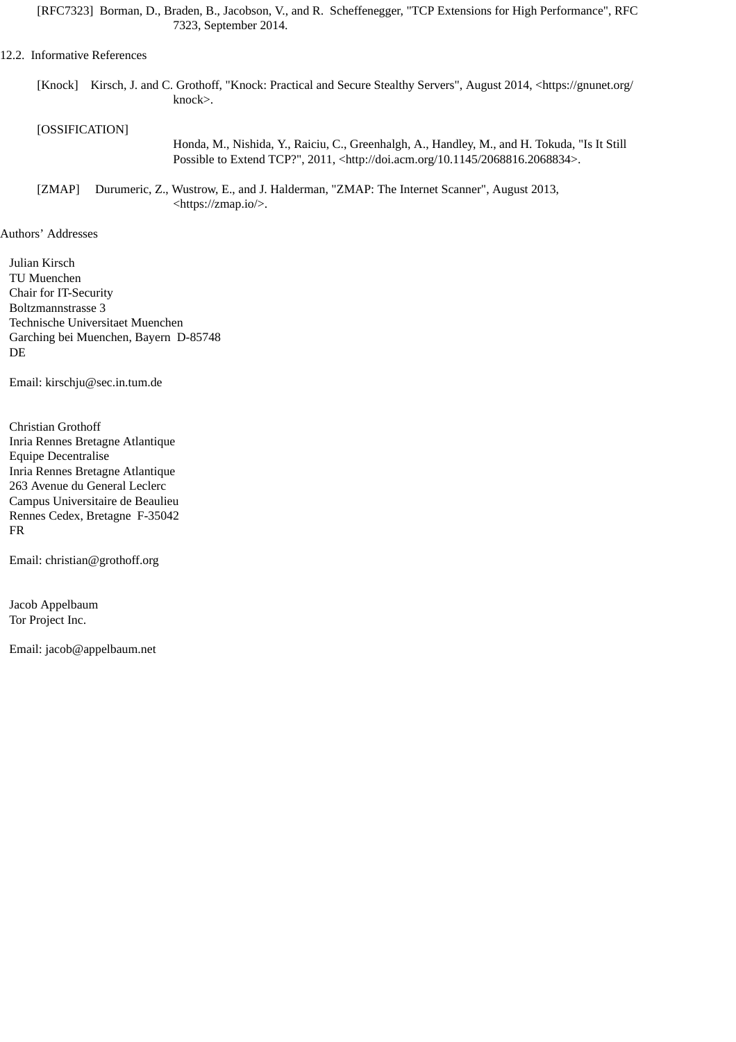[RFC7323] Borman, D., Braden, B., Jacobson, V., and R. Scheffenegger, "TCP Extensions for High Performance", RFC 7323, September 2014.

#### 12.2. Informative References

[Knock] Kirsch, J. and C. Grothoff, "Knock: Practical and Secure Stealthy Servers", August 2014, <https://gnunet.org/ knock>.

# [OSSIFICATION]

Honda, M., Nishida, Y., Raiciu, C., Greenhalgh, A., Handley, M., and H. Tokuda, "Is It Still Possible to Extend TCP?", 2011, <http://doi.acm.org/10.1145/2068816.2068834>.

[ZMAP] Durumeric, Z., Wustrow, E., and J. Halderman, "ZMAP: The Internet Scanner", August 2013, <https://zmap.io/>.

#### Authors' Addresses

Julian Kirsch TU Muenchen Chair for IT-Security Boltzmannstrasse 3 Technische Universitaet Muenchen Garching bei Muenchen, Bayern D-85748 DE

Email: kirschju@sec.in.tum.de

Christian Grothoff Inria Rennes Bretagne Atlantique Equipe Decentralise Inria Rennes Bretagne Atlantique 263 Avenue du General Leclerc Campus Universitaire de Beaulieu Rennes Cedex, Bretagne F-35042 FR

Email: christian@grothoff.org

Jacob Appelbaum Tor Project Inc.

Email: jacob@appelbaum.net